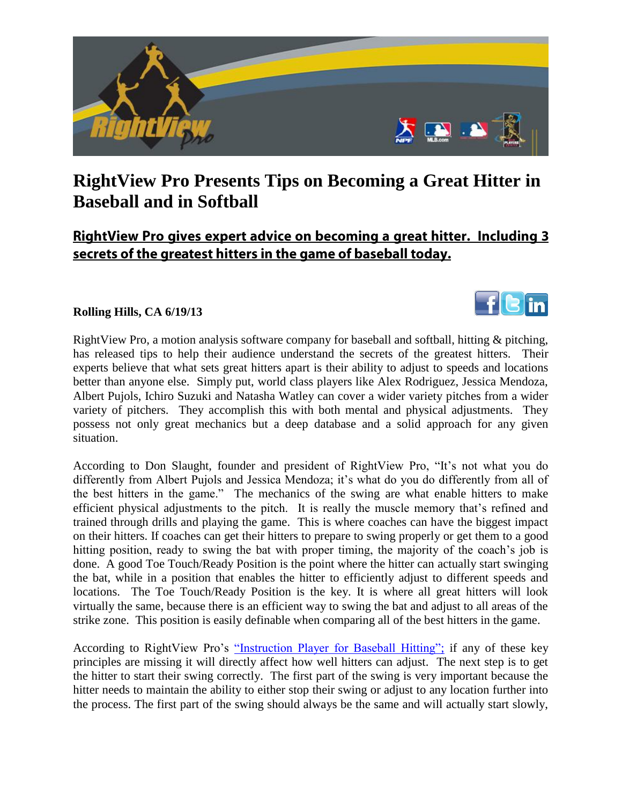

## **RightView Pro Presents Tips on Becoming a Great Hitter in Baseball and in Softball**

## RightView Pro gives expert advice on becoming a great hitter. Including 3 secrets of the greatest hitters in the game of baseball today.

in

## **Rolling Hills, CA 6/19/13**



According to Don Slaught, founder and president of RightView Pro, "It's not what you do differently from Albert Pujols and Jessica Mendoza; it's what do you do differently from all of the best hitters in the game." The mechanics of the swing are what enable hitters to make efficient physical adjustments to the pitch. It is really the muscle memory that's refined and trained through drills and playing the game. This is where coaches can have the biggest impact on their hitters. If coaches can get their hitters to prepare to swing properly or get them to a good hitting position, ready to swing the bat with proper timing, the majority of the coach's job is done. A good Toe Touch/Ready Position is the point where the hitter can actually start swinging the bat, while in a position that enables the hitter to efficiently adjust to different speeds and locations. The Toe Touch/Ready Position is the key. It is where all great hitters will look virtually the same, because there is an efficient way to swing the bat and adjust to all areas of the strike zone. This position is easily definable when comparing all of the best hitters in the game.

According to RightView Pro's ["Instruction Player for Baseball Hitting";](http://www.rightviewpro.com/products/instruction-series/ip300-as) if any of these key principles are missing it will directly affect how well hitters can adjust. The next step is to get the hitter to start their swing correctly. The first part of the swing is very important because the hitter needs to maintain the ability to either stop their swing or adjust to any location further into the process. The first part of the swing should always be the same and will actually start slowly,